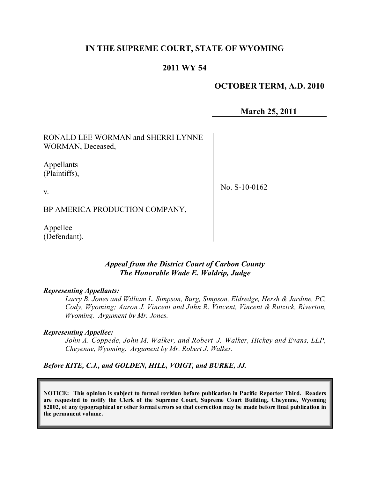# **IN THE SUPREME COURT, STATE OF WYOMING**

# **2011 WY 54**

# **OCTOBER TERM, A.D. 2010**

**March 25, 2011**

RONALD LEE WORMAN and SHERRI LYNNE WORMAN, Deceased,

Appellants (Plaintiffs),

v.

No. S-10-0162

BP AMERICA PRODUCTION COMPANY,

Appellee (Defendant).

# *Appeal from the District Court of Carbon County The Honorable Wade E. Waldrip, Judge*

#### *Representing Appellants:*

*Larry B. Jones and William L. Simpson, Burg, Simpson, Eldredge, Hersh & Jardine, PC, Cody, Wyoming; Aaron J. Vincent and John R. Vincent, Vincent & Rutzick, Riverton, Wyoming. Argument by Mr. Jones.*

#### *Representing Appellee:*

*John A. Coppede, John M. Walker, and Robert J. Walker, Hickey and Evans, LLP, Cheyenne, Wyoming. Argument by Mr. Robert J. Walker.*

*Before KITE, C.J., and GOLDEN, HILL, VOIGT, and BURKE, JJ.*

**NOTICE: This opinion is subject to formal revision before publication in Pacific Reporter Third. Readers are requested to notify the Clerk of the Supreme Court, Supreme Court Building, Cheyenne, Wyoming** 82002, of any typographical or other formal errors so that correction may be made before final publication in **the permanent volume.**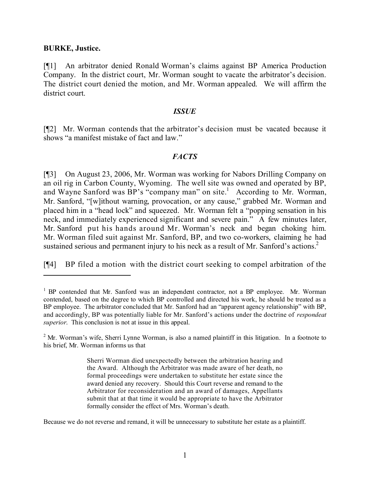### **BURKE, Justice.**

[¶1] An arbitrator denied Ronald Worman's claims against BP America Production Company. In the district court, Mr. Worman sought to vacate the arbitrator's decision. The district court denied the motion, and Mr. Worman appealed. We will affirm the district court.

### *ISSUE*

[¶2] Mr. Worman contends that the arbitrator's decision must be vacated because it shows "a manifest mistake of fact and law."

# *FACTS*

[¶3] On August 23, 2006, Mr. Worman was working for Nabors Drilling Company on an oil rig in Carbon County, Wyoming. The well site was owned and operated by BP, and Wayne Sanford was BP's "company man" on site.<sup>1</sup> According to Mr. Worman, Mr. Sanford, "[w]ithout warning, provocation, or any cause," grabbed Mr. Worman and placed him in a "head lock" and squeezed. Mr. Worman felt a "popping sensation in his neck, and immediately experienced significant and severe pain." A few minutes later, Mr. Sanford put his hands around Mr. Worman's neck and began choking him. Mr. Worman filed suit against Mr. Sanford, BP, and two co-workers, claiming he had sustained serious and permanent injury to his neck as a result of Mr. Sanford's actions.<sup>2</sup>

[¶4] BP filed a motion with the district court seeking to compel arbitration of the

Because we do not reverse and remand, it will be unnecessary to substitute her estate as a plaintiff.

<sup>&</sup>lt;sup>1</sup> BP contended that Mr. Sanford was an independent contractor, not a BP employee. Mr. Worman contended, based on the degree to which BP controlled and directed his work, he should be treated as a BP employee. The arbitrator concluded that Mr. Sanford had an "apparent agency relationship" with BP, and accordingly, BP was potentially liable for Mr. Sanford's actions under the doctrine of *respondeat superior*. This conclusion is not at issue in this appeal.

<sup>&</sup>lt;sup>2</sup> Mr. Worman's wife, Sherri Lynne Worman, is also a named plaintiff in this litigation. In a footnote to his brief, Mr. Worman informs us that

Sherri Worman died unexpectedly between the arbitration hearing and the Award. Although the Arbitrator was made aware of her death, no formal proceedings were undertaken to substitute her estate since the award denied any recovery. Should this Court reverse and remand to the Arbitrator for reconsideration and an award of damages, Appellants submit that at that time it would be appropriate to have the Arbitrator formally consider the effect of Mrs. Worman's death.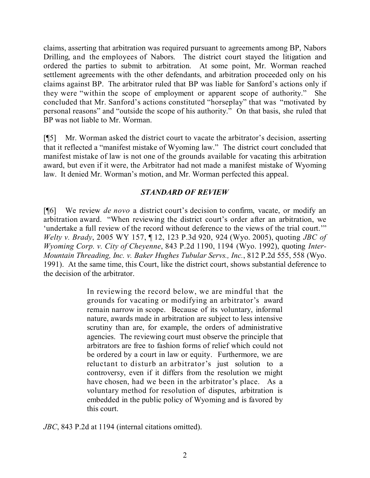claims, asserting that arbitration was required pursuant to agreements among BP, Nabors Drilling, and the employees of Nabors. The district court stayed the litigation and ordered the parties to submit to arbitration. At some point, Mr. Worman reached settlement agreements with the other defendants, and arbitration proceeded only on his claims against BP. The arbitrator ruled that BP was liable for Sanford's actions only if they were "within the scope of employment or apparent scope of authority." She concluded that Mr. Sanford's actions constituted "horseplay" that was "motivated by personal reasons" and "outside the scope of his authority." On that basis, she ruled that BP was not liable to Mr. Worman.

[¶5] Mr. Worman asked the district court to vacate the arbitrator's decision, asserting that it reflected a "manifest mistake of Wyoming law." The district court concluded that manifest mistake of law is not one of the grounds available for vacating this arbitration award, but even if it were, the Arbitrator had not made a manifest mistake of Wyoming law. It denied Mr. Worman's motion, and Mr. Worman perfected this appeal.

# *STANDARD OF REVIEW*

[¶6] We review *de novo* a district court's decision to confirm, vacate, or modify an arbitration award. "When reviewing the district court's order after an arbitration, we 'undertake a full review of the record without deference to the views of the trial court.'" *Welty v. Brady*, 2005 WY 157, ¶ 12, 123 P.3d 920, 924 (Wyo. 2005), quoting *JBC of Wyoming Corp. v. City of Cheyenne*, 843 P.2d 1190, 1194 (Wyo. 1992), quoting *Inter-Mountain Threading, Inc. v. Baker Hughes Tubular Servs., Inc.*, 812 P.2d 555, 558 (Wyo. 1991). At the same time, this Court, like the district court, shows substantial deference to the decision of the arbitrator.

> In reviewing the record below, we are mindful that the grounds for vacating or modifying an arbitrator's award remain narrow in scope. Because of its voluntary, informal nature, awards made in arbitration are subject to less intensive scrutiny than are, for example, the orders of administrative agencies. The reviewing court must observe the principle that arbitrators are free to fashion forms of relief which could not be ordered by a court in law or equity. Furthermore, we are reluctant to disturb an arbitrator's just solution to a controversy, even if it differs from the resolution we might have chosen, had we been in the arbitrator's place. As a voluntary method for resolution of disputes, arbitration is embedded in the public policy of Wyoming and is favored by this court.

*JBC*, 843 P.2d at 1194 (internal citations omitted).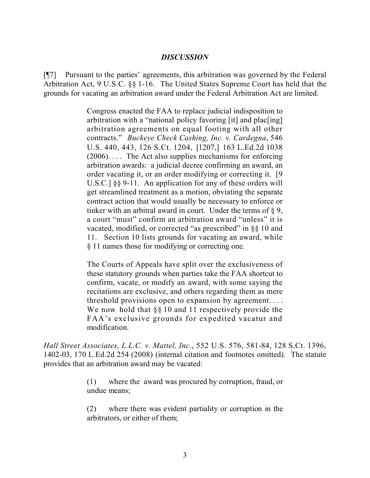# *DISCUSSION*

[¶7] Pursuant to the parties' agreements, this arbitration was governed by the Federal Arbitration Act, 9 U.S.C. §§ 1-16. The United States Supreme Court has held that the grounds for vacating an arbitration award under the Federal Arbitration Act are limited.

> Congress enacted the FAA to replace judicial indisposition to arbitration with a "national policy favoring [it] and plac[ing] arbitration agreements on equal footing with all other contracts." *Buckeye Check Cashing, Inc. v. Cardegna*, 546 U.S. 440, 443, 126 S.Ct. 1204, [1207,] 163 L.Ed.2d 1038 (2006). . . . The Act also supplies mechanisms for enforcing arbitration awards: a judicial decree confirming an award, an order vacating it, or an order modifying or correcting it. [9 U.S.C.]  $\S$ § 9-11. An application for any of these orders will get streamlined treatment as a motion, obviating the separate contract action that would usually be necessary to enforce or tinker with an arbitral award in court. Under the terms of § 9, a court "must" confirm an arbitration award "unless" it is vacated, modified, or corrected "as prescribed" in §§ 10 and 11. Section 10 lists grounds for vacating an award, while § 11 names those for modifying or correcting one.

> The Courts of Appeals have split over the exclusiveness of these statutory grounds when parties take the FAA shortcut to confirm, vacate, or modify an award, with some saying the recitations are exclusive, and others regarding them as mere threshold provisions open to expansion by agreement. . . . We now hold that  $\S$ § 10 and 11 respectively provide the FAA's exclusive grounds for expedited vacatur and modification.

*Hall Street Associates, L.L.C. v. Mattel, Inc.*, 552 U.S. 576, 581-84, 128 S.Ct. 1396, 1402-03, 170 L.Ed.2d 254 (2008) (internal citation and footnotes omitted). The statute provides that an arbitration award may be vacated:

> (1) where the award was procured by corruption, fraud, or undue means;

> (2) where there was evident partiality or corruption in the arbitrators, or either of them;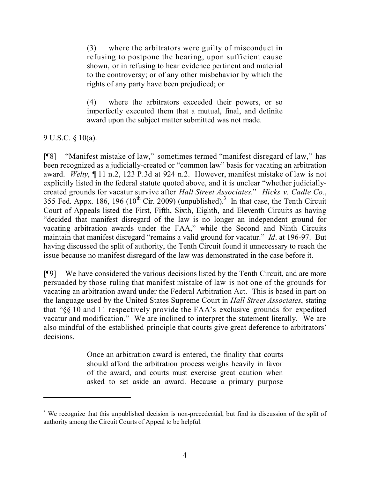(3) where the arbitrators were guilty of misconduct in refusing to postpone the hearing, upon sufficient cause shown, or in refusing to hear evidence pertinent and material to the controversy; or of any other misbehavior by which the rights of any party have been prejudiced; or

(4) where the arbitrators exceeded their powers, or so imperfectly executed them that a mutual, final, and definite award upon the subject matter submitted was not made.

9 U.S.C. § 10(a).

[¶8] "Manifest mistake of law," sometimes termed "manifest disregard of law," has been recognized as a judicially-created or "common law" basis for vacating an arbitration award. *Welty*, ¶ 11 n.2, 123 P.3d at 924 n.2. However, manifest mistake of law is not explicitly listed in the federal statute quoted above, and it is unclear "whether judiciallycreated grounds for vacatur survive after *Hall Street Associates*." *Hicks v. Cadle Co.*, 355 Fed. Appx. 186, 196 ( $10^{th}$  Cir. 2009) (unpublished).<sup>3</sup> In that case, the Tenth Circuit Court of Appeals listed the First, Fifth, Sixth, Eighth, and Eleventh Circuits as having "decided that manifest disregard of the law is no longer an independent ground for vacating arbitration awards under the FAA," while the Second and Ninth Circuits maintain that manifest disregard "remains a valid ground for vacatur." *Id*. at 196-97. But having discussed the split of authority, the Tenth Circuit found it unnecessary to reach the issue because no manifest disregard of the law was demonstrated in the case before it.

[¶9] We have considered the various decisions listed by the Tenth Circuit, and are more persuaded by those ruling that manifest mistake of law is not one of the grounds for vacating an arbitration award under the Federal Arbitration Act. This is based in part on the language used by the United States Supreme Court in *Hall Street Associates*, stating that "§§ 10 and 11 respectively provide the FAA's exclusive grounds for expedited vacatur and modification." We are inclined to interpret the statement literally. We are also mindful of the established principle that courts give great deference to arbitrators' decisions.

> Once an arbitration award is entered, the finality that courts should afford the arbitration process weighs heavily in favor of the award, and courts must exercise great caution when asked to set aside an award. Because a primary purpose

<sup>&</sup>lt;sup>3</sup> We recognize that this unpublished decision is non-precedential, but find its discussion of the split of authority among the Circuit Courts of Appeal to be helpful.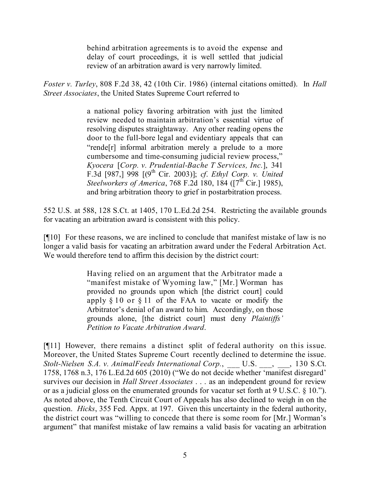behind arbitration agreements is to avoid the expense and delay of court proceedings, it is well settled that judicial review of an arbitration award is very narrowly limited.

*Foster v. Turley*, 808 F.2d 38, 42 (10th Cir. 1986) (internal citations omitted). In *Hall Street Associates*, the United States Supreme Court referred to

> a national policy favoring arbitration with just the limited review needed to maintain arbitration's essential virtue of resolving disputes straightaway. Any other reading opens the door to the full-bore legal and evidentiary appeals that can "rende[r] informal arbitration merely a prelude to a more cumbersome and time-consuming judicial review process," *Kyocera* [*Corp. v. Prudential-Bache T Services, Inc.*], 341 F.3d [987,] 998 [(9 th Cir. 2003)]; *cf*. *Ethyl Corp. v. United Steelworkers of America*, 768 F.2d 180, 184 ([7<sup>th</sup> Cir.] 1985), and bring arbitration theory to grief in postarbitration process.

552 U.S. at 588, 128 S.Ct. at 1405, 170 L.Ed.2d 254. Restricting the available grounds for vacating an arbitration award is consistent with this policy.

[¶10] For these reasons, we are inclined to conclude that manifest mistake of law is no longer a valid basis for vacating an arbitration award under the Federal Arbitration Act. We would therefore tend to affirm this decision by the district court:

> Having relied on an argument that the Arbitrator made a "manifest mistake of Wyoming law," [Mr.] Worman has provided no grounds upon which [the district court] could apply  $\S 10$  or  $\S 11$  of the FAA to vacate or modify the Arbitrator's denial of an award to him. Accordingly, on those grounds alone, [the district court] must deny *Plaintiffs' Petition to Vacate Arbitration Award*.

[¶11] However, there remains a distinct split of federal authority on this issue. Moreover, the United States Supreme Court recently declined to determine the issue. *Stolt-Nielsen S.A. v. AnimalFeeds International Corp.*, \_\_\_ U.S. \_\_\_, \_\_\_, 130 S.Ct. 1758, 1768 n.3, 176 L.Ed.2d 605 (2010) ("We do not decide whether 'manifest disregard' survives our decision in *Hall Street Associates* . . . as an independent ground for review or as a judicial gloss on the enumerated grounds for vacatur set forth at 9 U.S.C. § 10."). As noted above, the Tenth Circuit Court of Appeals has also declined to weigh in on the question. *Hicks*, 355 Fed. Appx. at 197. Given this uncertainty in the federal authority, the district court was "willing to concede that there is some room for [Mr.] Worman's argument" that manifest mistake of law remains a valid basis for vacating an arbitration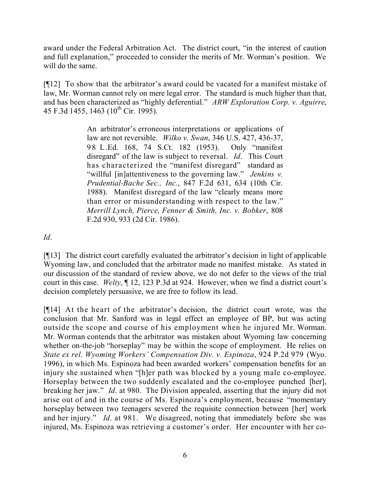award under the Federal Arbitration Act. The district court, "in the interest of caution and full explanation," proceeded to consider the merits of Mr. Worman's position. We will do the same.

[¶12] To show that the arbitrator's award could be vacated for a manifest mistake of law, Mr. Worman cannot rely on mere legal error. The standard is much higher than that, and has been characterized as "highly deferential." *ARW Exploration Corp. v. Aguirre*, 45 F.3d 1455, 1463 (10<sup>th</sup> Cir. 1995).

> An arbitrator's erroneous interpretations or applications of law are not reversible. *Wilko v. Swan*, 346 U.S. 427, 436-37, 98 L.Ed. 168, 74 S.Ct. 182 (1953). Only "manifest disregard" of the law is subject to reversal. *Id*. This Court has characterized the "manifest disregard" standard as "willful [in]attentiveness to the governing law." *Jenkins v. Prudential-Bache Sec., Inc.*, 847 F.2d 631, 634 (10th Cir. 1988). Manifest disregard of the law "clearly means more than error or misunderstanding with respect to the law." *Merrill Lynch, Pierce, Fenner & Smith, Inc. v. Bobker*, 808 F.2d 930, 933 (2d Cir. 1986).

*Id*.

[¶13] The district court carefully evaluated the arbitrator's decision in light of applicable Wyoming law, and concluded that the arbitrator made no manifest mistake. As stated in our discussion of the standard of review above, we do not defer to the views of the trial court in this case. *Welty*, ¶ 12, 123 P.3d at 924. However, when we find a district court's decision completely persuasive, we are free to follow its lead.

[¶14] At the heart of the arbitrator's decision, the district court wrote, was the conclusion that Mr. Sanford was in legal effect an employee of BP, but was acting outside the scope and course of his employment when he injured Mr. Worman. Mr. Worman contends that the arbitrator was mistaken about Wyoming law concerning whether on-the-job "horseplay" may be within the scope of employment. He relies on *State ex rel. Wyoming Workers' Compensation Div. v. Espinoza*, 924 P.2d 979 (Wyo. 1996), in which Ms. Espinoza had been awarded workers' compensation benefits for an injury she sustained when "[h]er path was blocked by a young male co-employee. Horseplay between the two suddenly escalated and the co-employee punched [her], breaking her jaw." *Id*. at 980. The Division appealed, asserting that the injury did not arise out of and in the course of Ms. Espinoza's employment, because "momentary horseplay between two teenagers severed the requisite connection between [her] work and her injury." *Id*. at 981. We disagreed, noting that immediately before she was injured, Ms. Espinoza was retrieving a customer's order. Her encounter with her co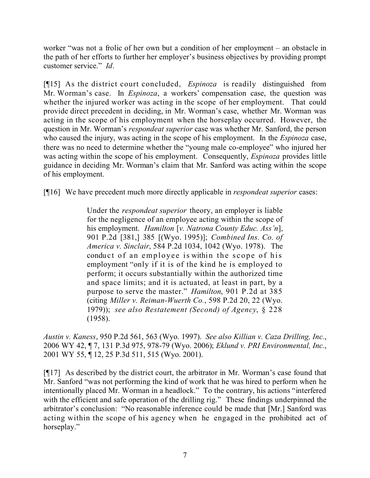worker "was not a frolic of her own but a condition of her employment – an obstacle in the path of her efforts to further her employer's business objectives by providing prompt customer service." *Id*.

[¶15] As the district court concluded, *Espinoza* is readily distinguished from Mr. Worman's case. In *Espinoza*, a workers' compensation case, the question was whether the injured worker was acting in the scope of her employment. That could provide direct precedent in deciding, in Mr. Worman's case, whether Mr. Worman was acting in the scope of his employment when the horseplay occurred. However, the question in Mr. Worman's *respondeat superior* case was whether Mr. Sanford, the person who caused the injury, was acting in the scope of his employment. In the *Espinoza* case, there was no need to determine whether the "young male co-employee" who injured her was acting within the scope of his employment. Consequently, *Espinoza* provides little guidance in deciding Mr. Worman's claim that Mr. Sanford was acting within the scope of his employment.

[¶16] We have precedent much more directly applicable in *respondeat superior* cases:

Under the *respondeat superior* theory, an employer is liable for the negligence of an employee acting within the scope of his employment. *Hamilton* [*v. Natrona County Educ. Ass'n*], 901 P.2d [381,] 385 [(Wyo. 1995)]; *Combined Ins. Co. of America v. Sinclair*, 584 P.2d 1034, 1042 (Wyo. 1978). The conduct of an employee is within the scope of his employment "only if it is of the kind he is employed to perform; it occurs substantially within the authorized time and space limits; and it is actuated, at least in part, by a purpose to serve the master." *Hamilton*, 901 P.2d at 385 (citing *Miller v. Reiman-Wuerth Co.*, 598 P.2d 20, 22 (Wyo. 1979)); *see also Restatement (Second) of Agency*, § 228 (1958).

*Austin v. Kaness*, 950 P.2d 561, 563 (Wyo. 1997). *See also Killian v. Caza Drilling, Inc.*, 2006 WY 42, ¶ 7, 131 P.3d 975, 978-79 (Wyo. 2006); *Eklund v. PRI Environmental, Inc.*, 2001 WY 55, ¶ 12, 25 P.3d 511, 515 (Wyo. 2001).

[¶17] As described by the district court, the arbitrator in Mr. Worman's case found that Mr. Sanford "was not performing the kind of work that he was hired to perform when he intentionally placed Mr. Worman in a headlock." To the contrary, his actions "interfered with the efficient and safe operation of the drilling rig." These findings underpinned the arbitrator's conclusion: "No reasonable inference could be made that [Mr.] Sanford was acting within the scope of his agency when he engaged in the prohibited act of horseplay."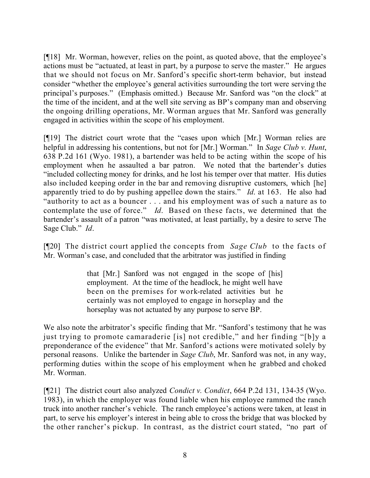[¶18] Mr. Worman, however, relies on the point, as quoted above, that the employee's actions must be "actuated, at least in part, by a purpose to serve the master." He argues that we should not focus on Mr. Sanford's specific short-term behavior, but instead consider "whether the employee's general activities surrounding the tort were serving the principal's purposes." (Emphasis omitted.) Because Mr. Sanford was "on the clock" at the time of the incident, and at the well site serving as BP's company man and observing the ongoing drilling operations, Mr. Worman argues that Mr. Sanford was generally engaged in activities within the scope of his employment.

[¶19] The district court wrote that the "cases upon which [Mr.] Worman relies are helpful in addressing his contentions, but not for [Mr.] Worman." In *Sage Club v. Hunt*, 638 P.2d 161 (Wyo. 1981), a bartender was held to be acting within the scope of his employment when he assaulted a bar patron. We noted that the bartender's duties "included collecting money for drinks, and he lost his temper over that matter. His duties also included keeping order in the bar and removing disruptive customers, which [he] apparently tried to do by pushing appellee down the stairs." *Id*. at 163. He also had "authority to act as a bouncer . . . and his employment was of such a nature as to contemplate the use of force." *Id*. Based on these facts, we determined that the bartender's assault of a patron "was motivated, at least partially, by a desire to serve The Sage Club." *Id*.

[¶20] The district court applied the concepts from *Sage Club* to the facts of Mr. Worman's case, and concluded that the arbitrator was justified in finding

> that [Mr.] Sanford was not engaged in the scope of [his] employment. At the time of the headlock, he might well have been on the premises for work-related activities but he certainly was not employed to engage in horseplay and the horseplay was not actuated by any purpose to serve BP.

We also note the arbitrator's specific finding that Mr. "Sanford's testimony that he was just trying to promote camaraderie [is] not credible," and her finding "[b]y a preponderance of the evidence" that Mr. Sanford's actions were motivated solely by personal reasons. Unlike the bartender in *Sage Club*, Mr. Sanford was not, in any way, performing duties within the scope of his employment when he grabbed and choked Mr. Worman.

[¶21] The district court also analyzed *Condict v. Condict*, 664 P.2d 131, 134-35 (Wyo. 1983), in which the employer was found liable when his employee rammed the ranch truck into another rancher's vehicle. The ranch employee's actions were taken, at least in part, to serve his employer's interest in being able to cross the bridge that was blocked by the other rancher's pickup. In contrast, as the district court stated, "no part of